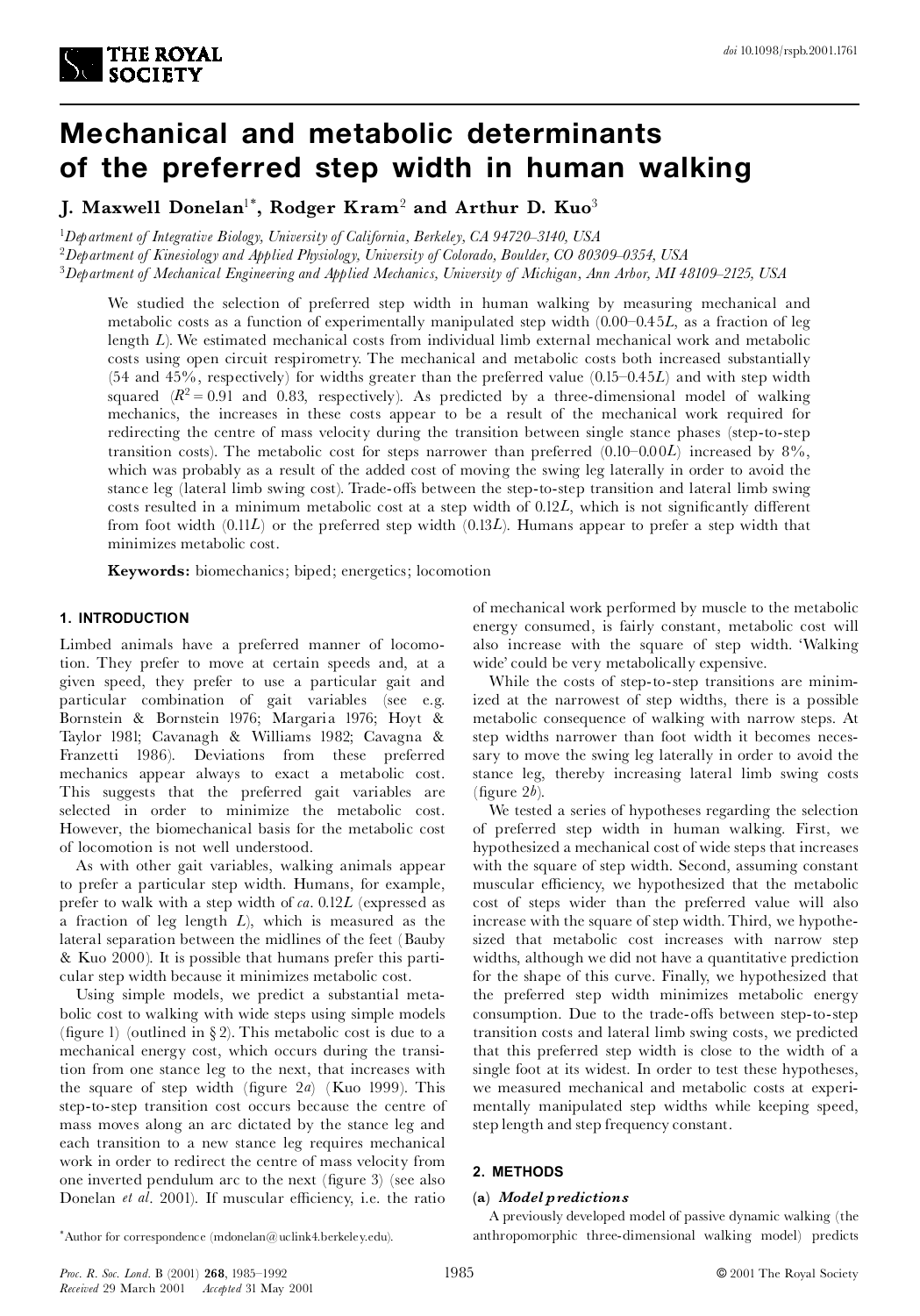

# **Mechanical and metabolic determinants of the preferred step width in human walking**

**J. Maxwell Donelan** 1\* **, Rodger Kram**<sup>2</sup> **and Arthur D. Kuo** 3

<sup>1</sup>*Department of Integrative Biology, University of California, Berkeley, CA 94720^3140, USA*

<sup>2</sup>*Department of Kinesiology and Applied Physiology, University of Colorado, Boulder, CO 80309^0354, USA*

<sup>3</sup>*Department of Mechanical Engineering and Applied Mechanics, University of Michigan, Ann Arbor, MI 48109^2125, USA*

We studied the selection of preferred step width in human walking by measuring mechanical and metabolic costs as a function of experimentally manipulated step width  $(0.00-0.45L)$ , as a fraction of leg length *L*). We estimated mechanical costs from individual limb external mechanical work and metabolic costs using open circuit respirometry. The mechanical and metabolic costs both increased substantially  $(54 \text{ and } 45\%)$ , respectively) for widths greater than the preferred value  $(0.15-0.45L)$  and with step width squared  $(R^2 = 0.91$  and 0.83, respectively). As predicted by a three-dimensional model of walking mechanics, the increases in these costs appear to be a result of the mechanical work required for redirecting the centre of mass velocity during the transition between single stance phases (step-to-step transition costs). The metabolic cost for steps narrower than preferred  $(0.10-0.00L)$  increased by 8%, which was probably as a result of the added cost of moving the swing leg laterally in order to avoid the stance leg (lateral limb swing cost). Trade-offs between the step-to-step transition and lateral limb swing costs resulted in a minimum metabolic cost at a step width of 0.12*L*, which is not significantly different from foot width (0.11*L*) or the preferred step width (0.13*L*). Humans appear to prefer a step width that minimizes metabolic cost.

**Keywords:** biomechanics; biped; energetics; locomotion

## **1. INTRODUCTION**

Limbed animals have a preferred manner of locomotion. They prefer to move at certain speeds and, at a given speed, they prefer to use a particular gait and particular combination of gait variables (see e.g. Bornstein & Bornstein 1976; Margaria 1976; Hoyt & Taylor 1981; Cavanagh & Williams 1982; Cavagna & Franzetti 1986). Deviations from these preferred mechanics appear always to exact a metabolic cost. This suggests that the preferred gait variables are selected in order to minimize the metabolic cost. However, the biomechanical basis for the metabolic cost of locomotion is not well understood.

As with other gait variables, walking animals appear to prefer a particular step width. Humans, for example, prefer to walk with a step width of *ca*. 0.12*L* (expressed as a fraction of leg length *L*), which is measured as the lateral separation between the midlines of the feet (Bauby & Kuo 2000). It is possible that humans prefer this parti cular step width because it minimizes metabolic cost.

Using simple models, we predict a substantial meta bolic cost to walking with wide steps using simple models (figure 1) (outlined in  $\S 2$ ). This metabolic cost is due to a mechanical energy cost, which occurs during the transition from one stance leg to the next, that increases with the square of step width (figure  $2a$ ) (Kuo 1999). This step-to-step transition cost occurs because the centre of mass moves along an arc dictated by the stance leg and each transition to a new stance leg requires mechanical work in order to redirect the centre of mass velocity from one inverted pendulum arc to the next (figure 3) (see also Donelan *et al.* 2001). If muscular efficiency, i.e. the ratio

of mechanical work performed by muscle to the metabolic energy consumed, is fairly constant, metabolic cost will also increase with the square of step width. `Walking wide' could be very metabolically expensive.

While the costs of step-to-step transitions are minimized at the narrowest of step widths, there is a possible metabolic consequence of walking with narrow steps. At step widths narrower than foot width it becomes necessary to move the swing leg laterally in order to avoid the stance leg, thereby increasing lateral limb swing costs (figure  $2b$ ).

We tested a series of hypotheses regarding the selection of preferred step width in human walking. First, we hypothesized a mechanical cost of wide steps that increases with the square of step width. Second, assuming constant muscular efficiency, we hypothesized that the metabolic cost of steps wider than the preferred value will also increase with the square of step width. Third, we hypothesized that metabolic cost increases with narrow step widths, although we did not have a quantitative prediction for the shape of this curve. Finally, we hypothesized that the preferred step width minimizes metabolic energy consumption. Due to the trade-offs between step-to-step transition costs and lateral limb swing costs, we predicted that this preferred step width is close to the width of a single foot at its widest. In order to test these hypotheses, we measured mechanical and metabolic costs at experi mentally manipulated step widths while keeping speed, step length and step frequency constant.

## **2. METHODS**

#### **(a)** *Model predictions*

A previously developed model of passive dynamic walking (the anthropomorphic three-dimensional walking model) predicts

\*Author for correspondence (mdonelan@uclink4.berkeley.edu).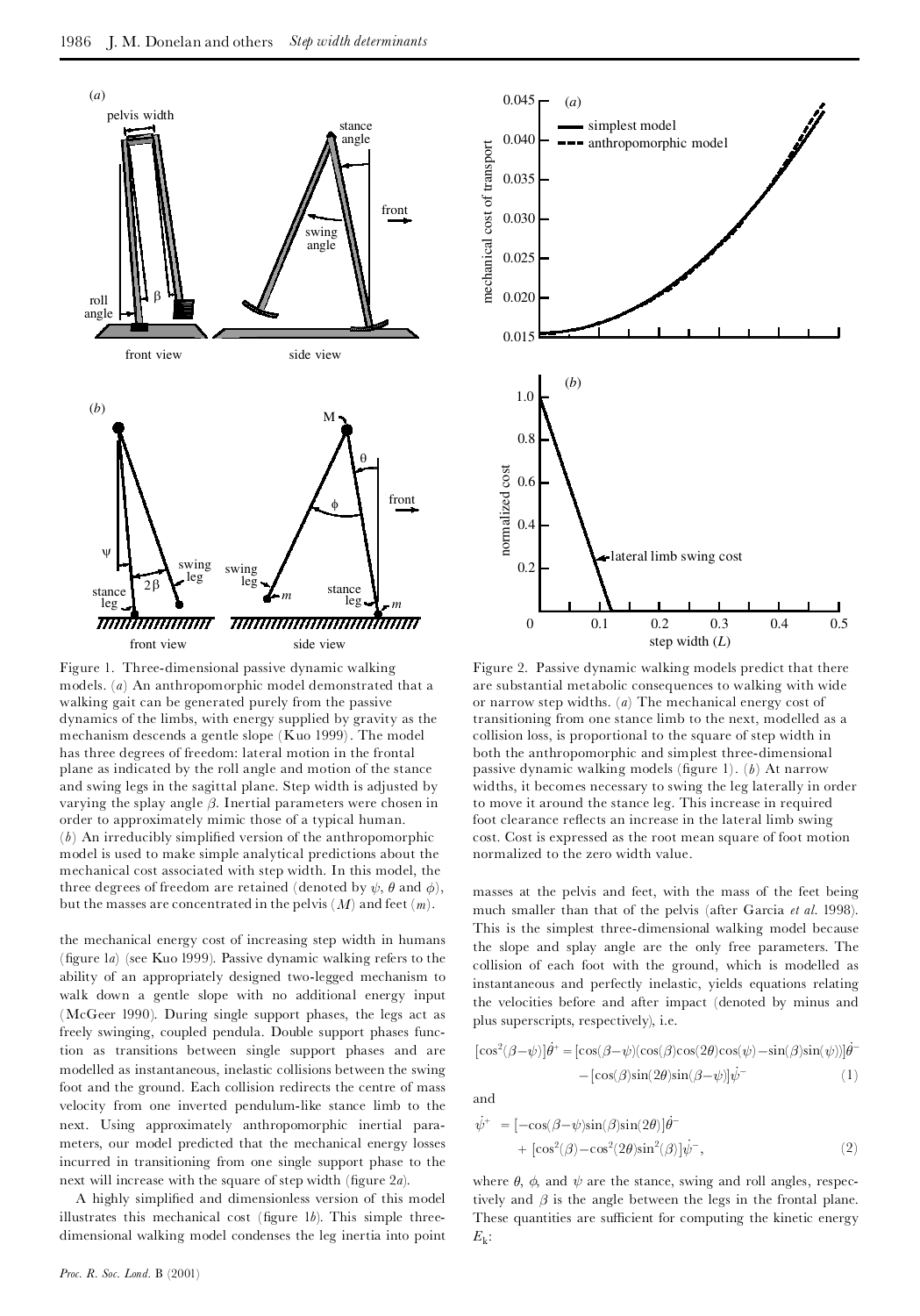

Figure 1. Three-dimensional passive dynamic walking models. (*a*) An anthropomorphic model demonstrated that a walking gait can be generated purely from the passive dynamics of the limbs, with energy supplied by gravity as the mechanism descends a gentle slope (Kuo 1999). The model has three degrees of freedom: lateral motion in the frontal plane as indicated by the roll angle and motion of the stance and swing legs in the sagittal plane. Step width is adjusted by varying the splay angle  $\beta$ . Inertial parameters were chosen in order to approximately mimic those of a typical human.  $(b)$  An irreducibly simplified version of the anthropomorphic model is used to make simple analytical predictions about the mechanical cost associated with step width. In this model, the three degrees of freedom are retained (denoted by  $\psi$ ,  $\theta$  and  $\phi$ ), but the masses are concentrated in the pelvis  $(M)$  and feet  $(m)$ .

the mechanical energy cost of increasing step width in humans (¢gure 1*a*) (see Kuo 1999). Passive dynamic walking refers to the ability of an appropriately designed two-legged mechanism to walk down a gentle slope with no additional energy input (McGeer 1990). During single support phases, the legs act as freely swinging, coupled pendula. Double support phases function as transitions between single support phases and are modelled as instantaneous, inelastic collisions between the swing foot and the ground. Each collision redirects the centre of mass velocity from one inverted pendulum-like stance limb to the next. Using approximately anthropomorphic inertial para meters, our model predicted that the mechanical energy losses incurred in transitioning from one single support phase to the next will increase with the square of step width (figure  $2a$ ).

A highly simpli¢ed and dimensionless version of this model illustrates this mechanical cost (figure  $1b$ ). This simple threedimensional walking model condenses the leg inertia into point



Figure 2. Passive dynamic walking models predict that there are substantial metabolic consequences to walking with wide or narrow step widths. (*a*) The mechanical energy cost of transitioning from one stance limb to the next, modelled as a collision loss, is proportional to the square of step width in both the anthropomorphic and simplest three-dimensional passive dynamic walking models (figure 1). (*b*) At narrow widths, it becomes necessary to swing the leg laterally in order to move it around the stance leg. This increase in required foot clearance reflects an increase in the lateral limb swing cost. Cost is expressed as the root mean square of foot motion normalized to the zero width value.

masses at the pelvis and feet, with the mass of the feet being much smaller than that of the pelvis (after Garcia *et al*. 1998). This is the simplest three-dimensional walking model because the slope and splay angle are the only free parameters. The collision of each foot with the ground, which is modelled as instantaneous and perfectly inelastic, yields equations relating the velocities before and after impact (denoted by minus and plus superscripts, respectively), i.e.

$$
[\cos^2(\beta - \psi)]\dot{\theta}^+ = [\cos(\beta - \psi)(\cos(\beta)\cos(2\theta)\cos(\psi) - \sin(\beta)\sin(\psi))]\dot{\theta}^- - [\cos(\beta)\sin(2\theta)\sin(\beta - \psi)]\dot{\psi}^- \tag{1}
$$

and

$$
\psi^{+} = [-\cos(\beta - \psi)\sin(\beta)\sin(2\theta)]\dot{\theta}^{+} + [\cos^{2}(\beta) - \cos^{2}(2\theta)\sin^{2}(\beta)]\dot{\psi}^{-},
$$
\n(2)

where  $\theta$ ,  $\phi$ , and  $\psi$  are the stance, swing and roll angles, respectively and  $\beta$  is the angle between the legs in the frontal plane. These quantities are sufficient for computing the kinetic energy  $E_{\rm k}$ :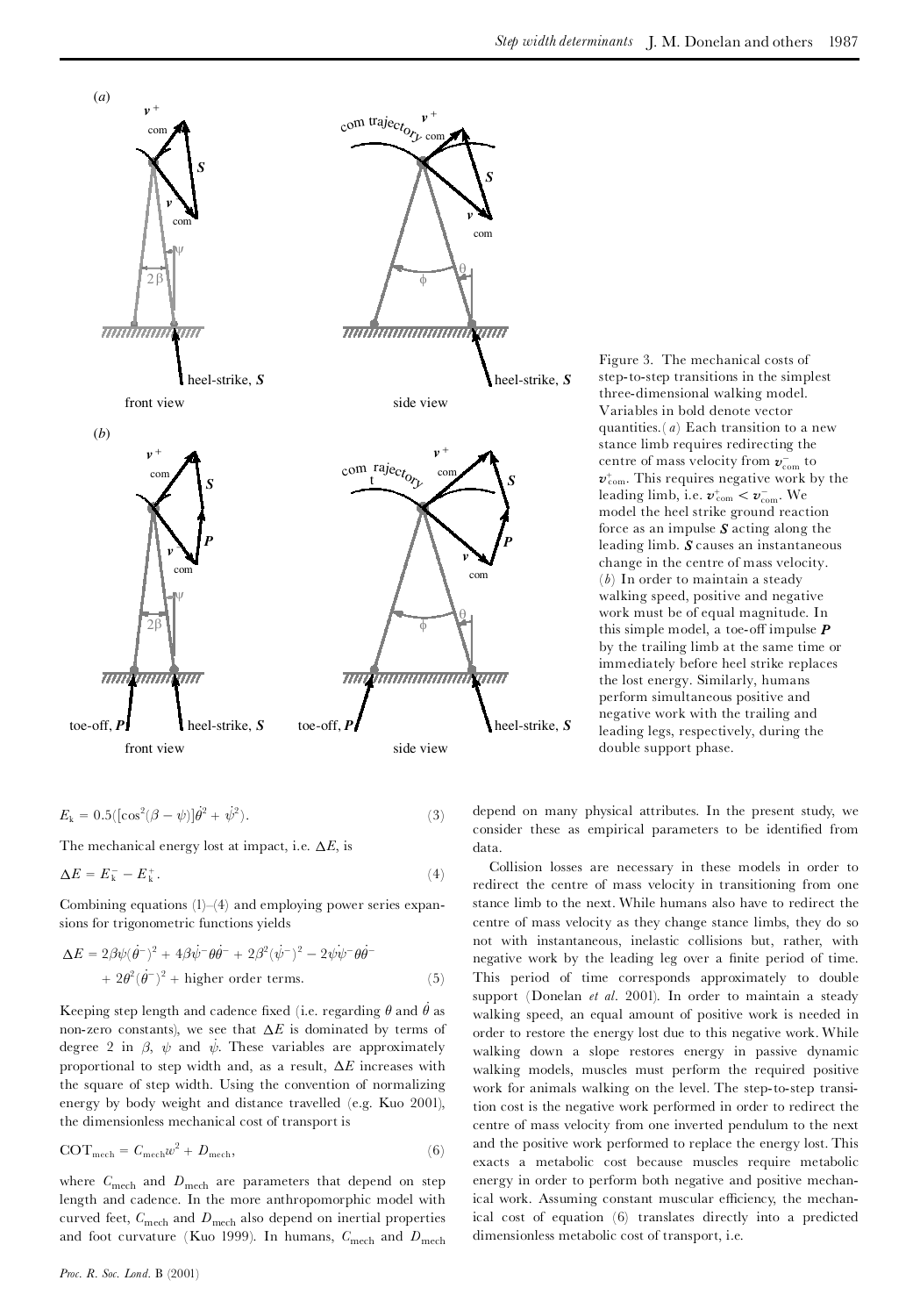

$$
E_{k} = 0.5([cos^{2}(\beta - \psi)]\dot{\theta}^{2} + \dot{\psi}^{2}).
$$
\n(3)

The mechanical energy lost at impact, i.e.  $\Delta E$ , is

$$
\Delta E = E_{\mathbf{k}}^- - E_{\mathbf{k}}^+.\tag{4}
$$

Combining equations  $(1)$ - $(4)$  and employing power series expansions for trigonometric functions yields

$$
\Delta E = 2\beta\psi(\dot{\theta}^-)^2 + 4\beta\dot{\psi}^-\theta\dot{\theta}^- + 2\beta^2(\dot{\psi}^-)^2 - 2\dot{\psi}\dot{\psi}^-\theta\dot{\theta}^-
$$
  
+ 2\theta^2(\dot{\theta}^-)^2 + higher order terms. (5)

Keeping step length and cadence fixed (i.e. regarding  $\theta$  and  $\theta$  as non-zero constants), we see that  $\Delta E$  is dominated by terms of degree 2 in  $\beta$ ,  $\psi$  and  $\psi$ . These variables are approximately proportional to step width and, as a result,  $\Delta E$  increases with the square of step width. Using the convention of normalizing energy by body weight and distance travelled (e.g. Kuo 2001), the dimensionless mechanical cost of transport is

$$
COTmech = Cmechw2 + Dmech,
$$
\n(6)

where  $C_{\text{mech}}$  and  $D_{\text{mech}}$  are parameters that depend on step length and cadence. In the more anthropomorphic model with curved feet,  $C_{\text{mech}}$  and  $D_{\text{mech}}$  also depend on inertial properties and foot curvature (Kuo 1999). In humans,  $C_{\text{mech}}$  and  $D_{\text{mech}}$  Figure 3. The mechanical costs of step-to-step transitions in the simplest three-dimensional walking model. Variables in bold denote vector quantities.( *a*) Each transition to a new stance limb requires redirecting the centre of mass velocity from  $\pmb{v}_{\rm com}^-$  to  $v_{\rm com}^{\scriptscriptstyle +}$ . This requires negative work by the leading limb, i.e.  $v_{\text{com}}^+ < v_{\text{com}}^-$ . We model the heel strike ground reaction force as an impulse *S* acting along the leading limb. *S* causes an instantaneous change in the centre of mass velocity. (*b*) In order to maintain a steady walking speed, positive and negative work must be of equal magnitude. In this simple model, a toe-off impulse  $$ by the trailing limb at the same time or immediately before heel strike replaces the lost energy. Similarly, humans perform simultaneous positive and negative work with the trailing and leading legs, respectively, during the double support phase.

depend on many physical attributes. In the present study, we consider these as empirical parameters to be identified from data.

Collision losses are necessary in these models in order to redirect the centre of mass velocity in transitioning from one stance limb to the next. While humans also have to redirect the centre of mass velocity as they change stance limbs, they do so not with instantaneous, inelastic collisions but, rather, with negative work by the leading leg over a finite period of time. This period of time corresponds approximately to double support (Donelan *et al*. 2001). In order to maintain a steady walking speed, an equal amount of positive work is needed in order to restore the energy lost due to this negative work. While walking down a slope restores energy in passive dynamic walking models, muscles must perform the required positive work for animals walking on the level. The step-to-step transition cost is the negative work performed in order to redirect the centre of mass velocity from one inverted pendulum to the next and the positive work performed to replace the energy lost. This exacts a metabolic cost because muscles require metabolic energy in order to perform both negative and positive mechanical work. Assuming constant muscular efficiency, the mechanical cost of equation (6) translates directly into a predicted dimensionless metabolic cost of transport, i.e.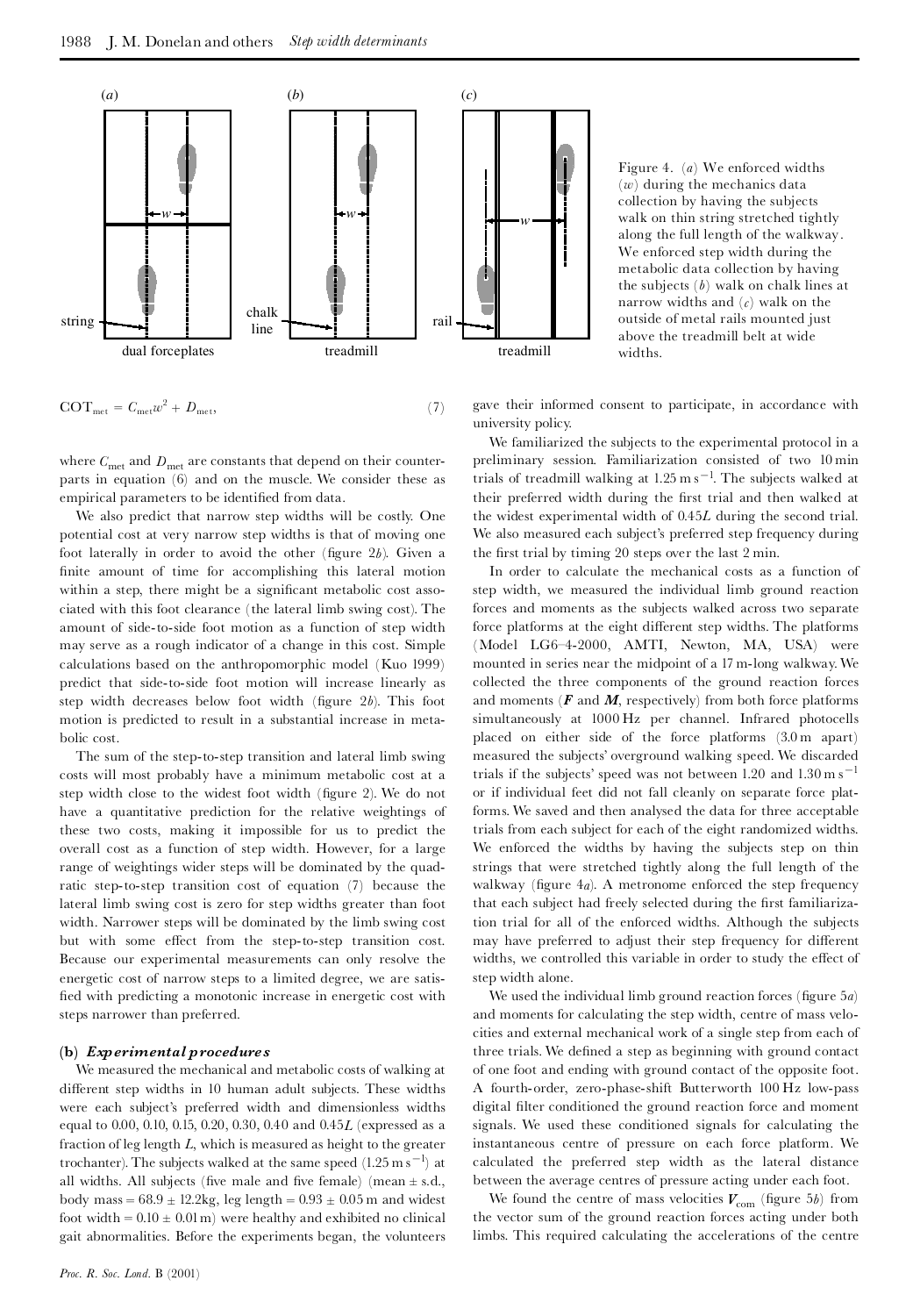

 $\text{COT}_{\text{met}} = C_{\text{met}} w^2 + D_{\text{met}}$  $^{2} + D_{\text{met}}$ , (7)

Figure 4. (*a*) We enforced widths (*w*) during the mechanics data collection by having the subjects walk on thin string stretched tightly along the full length of the walkway. We enforced step width during the metabolic data collection by having the subjects (*b*) walk on chalk lines at narrow widths and (*c*) walk on the outside of metal rails mounted just above the treadmill belt at wide widths.

gave their informed consent to participate, in accordance with university policy.

where  $C_{\text{met}}$  and  $D_{\text{met}}$  are constants that depend on their counterparts in equation (6) and on the muscle. We consider these as empirical parameters to be identified from data.

We also predict that narrow step widths will be costly. One potential cost at very narrow step widths is that of moving one foot laterally in order to avoid the other (figure  $2b$ ). Given a finite amount of time for accomplishing this lateral motion within a step, there might be a significant metabolic cost associated with this foot clearance (the lateral limb swing cost). The amount of side-to-side foot motion as a function of step width may serve as a rough indicator of a change in this cost. Simple calculations based on the anthropomorphic model (Kuo 1999) predict that side-to-side foot motion will increase linearly as step width decreases below foot width (figure 2b). This foot motion is predicted to result in a substantial increase in meta bolic cost.

The sum of the step-to-step transition and lateral limb swing costs will most probably have a minimum metabolic cost at a step width close to the widest foot width (figure 2). We do not have a quantitative prediction for the relative weightings of these two costs, making it impossible for us to predict the overall cost as a function of step width. However, for a large range of weightings wider steps will be dominated by the quadratic step-to-step transition cost of equation (7) because the lateral limb swing cost is zero for step widths greater than foot width. Narrower steps will be dominated by the limb swing cost but with some effect from the step-to-step transition cost. Because our experimental measurements can only resolve the energetic cost of narrow steps to a limited degree, we are satis fied with predicting a monotonic increase in energetic cost with steps narrower than preferred.

### **(b)** *Experimental procedures*

We measured the mechanical and metabolic costs of walking at different step widths in 10 human adult subjects. These widths were each subject's preferred width and dimensionless widths equal to 0.00, 0.10, 0.15, 0.20, 0.30, 0.40 and 0.45*L* (expressed as a fraction of leg length *L*, which is measured as height to the greater trochanter). The subjects walked at the same speed  $(1.25 \text{ m s}^{-1})$  at all widths. All subjects (five male and five female) (mean  $\pm$  s.d., body mass =  $68.9 \pm 12.2$ kg, leg length =  $0.93 \pm 0.05$  m and widest foot width =  $0.10 \pm 0.01$  m) were healthy and exhibited no clinical gait abnormalities. Before the experiments began, the volunteers

We familiarized the subjects to the experimental protocol in a preliminary session. Familiarization consisted of two 10 min trials of treadmill walking at  $1.25 \text{ m s}^{-1}$ . The subjects walked at their preferred width during the first trial and then walked at the widest experimental width of 0.45*L* during the second trial. We also measured each subject's preferred step frequency during the first trial by timing 20 steps over the last 2 min.

In order to calculate the mechanical costs as a function of step width, we measured the individual limb ground reaction forces and moments as the subjects walked across two separate force platforms at the eight different step widths. The platforms (Model LG6^4-2000, AMTI, Newton, MA, USA) were mounted in series near the midpoint of a 17 m-long walkway.We collected the three components of the ground reaction forces and moments  $(F \text{ and } M)$ , respectively) from both force platforms simultaneously at 1000 Hz per channel. Infrared photocells placed on either side of the force platforms (3.0 m apart) measured the subjects' overground walking speed. We discarded trials if the subjects' speed was not between 1.20 and  $1.30 \text{ m s}^{-1}$ or if individual feet did not fall cleanly on separate force platforms. We saved and then analysed the data for three acceptable trials from each subject for each of the eight randomized widths. We enforced the widths by having the subjects step on thin strings that were stretched tightly along the full length of the walkway (figure  $4a$ ). A metronome enforced the step frequency that each subject had freely selected during the first familiarization trial for all of the enforced widths. Although the subjects may have preferred to adjust their step frequency for different widths, we controlled this variable in order to study the effect of step width alone.

We used the individual limb ground reaction forces (figure 5*a*) and moments for calculating the step width, centre of mass velo cities and external mechanical work of a single step from each of three trials. We defined a step as beginning with ground contact of one foot and ending with ground contact of the opposite foot. A fourth-order, zero-phase-shift Butterworth 100 Hz low-pass digital filter conditioned the ground reaction force and moment signals. We used these conditioned signals for calculating the instantaneous centre of pressure on each force platform. We calculated the preferred step width as the lateral distance between the average centres of pressure acting under each foot.

We found the centre of mass velocities  $V_{\text{com}}$  (figure 5*b*) from the vector sum of the ground reaction forces acting under both limbs. This required calculating the accelerations of the centre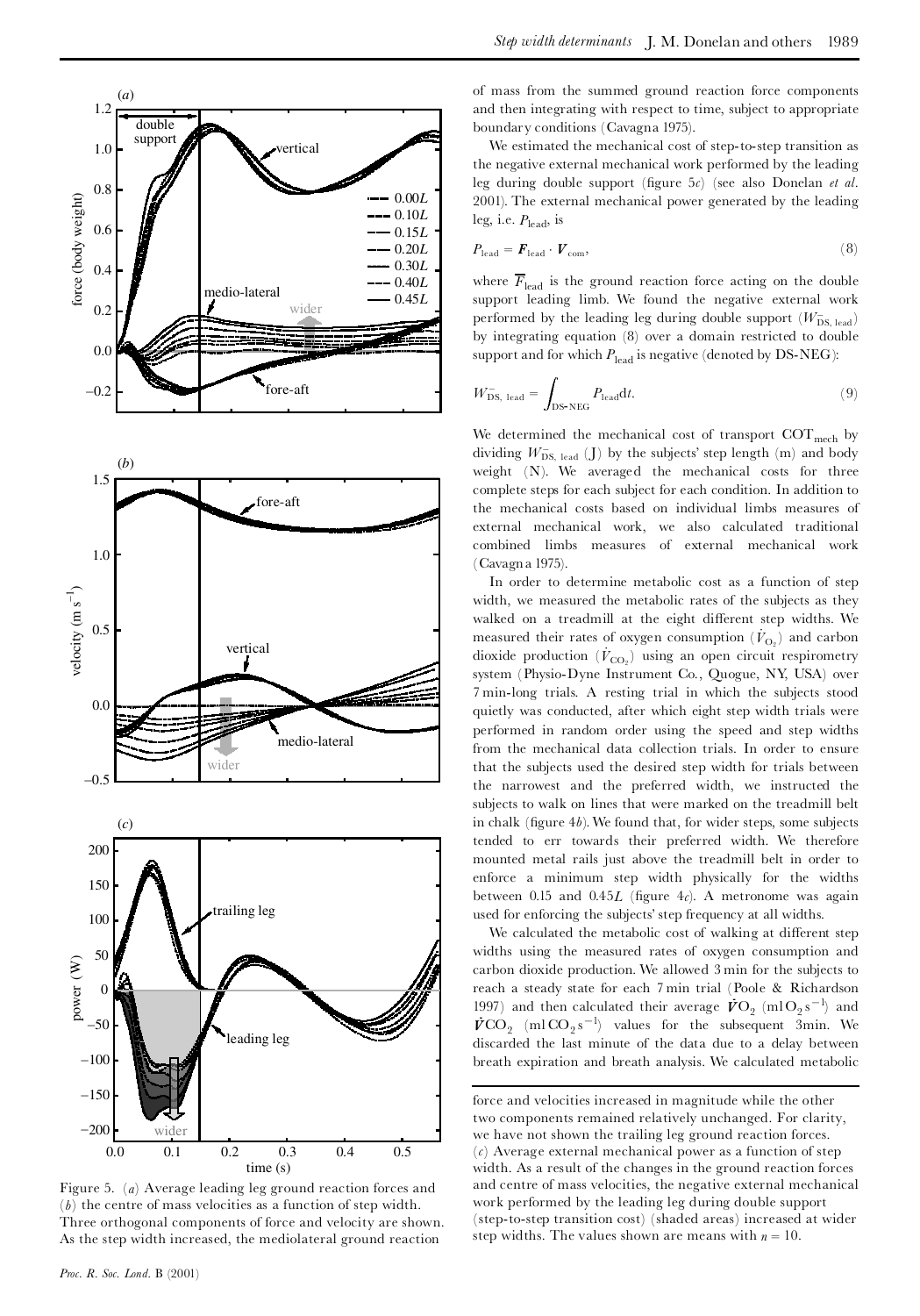

Figure 5. (*a*) Average leading leg ground reaction forces and (*b*) the centre of mass velocities as a function of step width. Three orthogonal components of force and velocity are shown. As the step width increased, the mediolateral ground reaction

of mass from the summed ground reaction force components and then integrating with respect to time, subject to appropriate boundary conditions (Cavagna 1975).

We estimated the mechanical cost of step-to-step transition as the negative external mechanical work performed by the leading leg during double support (¢gure 5*c*) (see also Donelan *et al*. 2001). The external mechanical power generated by the leading leg, i.e. *P*lead, is

$$
P_{\text{lead}} = \boldsymbol{F}_{\text{lead}} \cdot \boldsymbol{V}_{\text{com}},\tag{8}
$$

where  $\overline{F}_{\text{lead}}$  is the ground reaction force acting on the double support leading limb. We found the negative external work performed by the leading leg during double support  $(W^-_{\text{DS, lead}})$ by integrating equation (8) over a domain restricted to double support and for which  $P_{\text{lead}}$  is negative (denoted by DS-NEG):

$$
W_{\text{DS, lead}}^{-} = \int_{\text{DS-NEG}} P_{\text{lead}} dt. \tag{9}
$$

We determined the mechanical cost of transport  $COT_{mech}$  by dividing  $W^-_{DS, lead}$  (J) by the subjects' step length (m) and body weight (N). We averaged the mechanical costs for three complete steps for each subject for each condition. In addition to the mechanical costs based on individual limbs measures of external mechanical work, we also calculated traditional combined limbs measures of external mechanical work (Cavagna 1975).

In order to determine metabolic cost as a function of step width, we measured the metabolic rates of the subjects as they walked on a treadmill at the eight different step widths. We measured their rates of oxygen consumption  $(\dot{V}_{\text{O}_2})$  and carbon dioxide production  $(V_{CO_2} )$  using an open circuit respirometry system (Physio-Dyne Instrument Co., Quogue, NY, USA) over 7 min-long trials. A resting trial in which the subjects stood quietly was conducted, after which eight step width trials were performed in random order using the speed and step widths from the mechanical data collection trials. In order to ensure that the subjects used the desired step width for trials between the narrowest and the preferred width, we instructed the subjects to walk on lines that were marked on the treadmill belt in chalk (figure  $4b$ ). We found that, for wider steps, some subjects tended to err towards their preferred width. We therefore mounted metal rails just above the treadmill belt in order to enforce a minimum step width physically for the widths between 0.15 and  $0.45L$  (figure  $4c$ ). A metronome was again used for enforcing the subjects' step frequency at all widths.

We calculated the metabolic cost of walking at different step widths using the measured rates of oxygen consumption and carbon dioxide production. We allowed 3 min for the subjects to reach a steady state for each 7 min trial (Poole & Richardson 1997) and then calculated their average  $\vec{V}O_2$  (mlO<sub>2</sub>s<sup>-1</sup>) and  $\vec{V}$ CO<sub>2</sub> (ml CO<sub>2</sub>s<sup>-1</sup>) values for the subsequent 3min. We discarded the last minute of the data due to a delay between breath expiration and breath analysis. We calculated metabolic

force and velocities increased in magnitude while the other two components remained relatively unchanged. For clarity, we have not shown the trailing leg ground reaction forces. (*c*) Average external mechanical power as a function of step width. As a result of the changes in the ground reaction forces and centre of mass velocities, the negative external mechanical work performed by the leading leg during double support (step-to-step transition cost) (shaded areas) increased at wider step widths. The values shown are means with  $n = 10$ .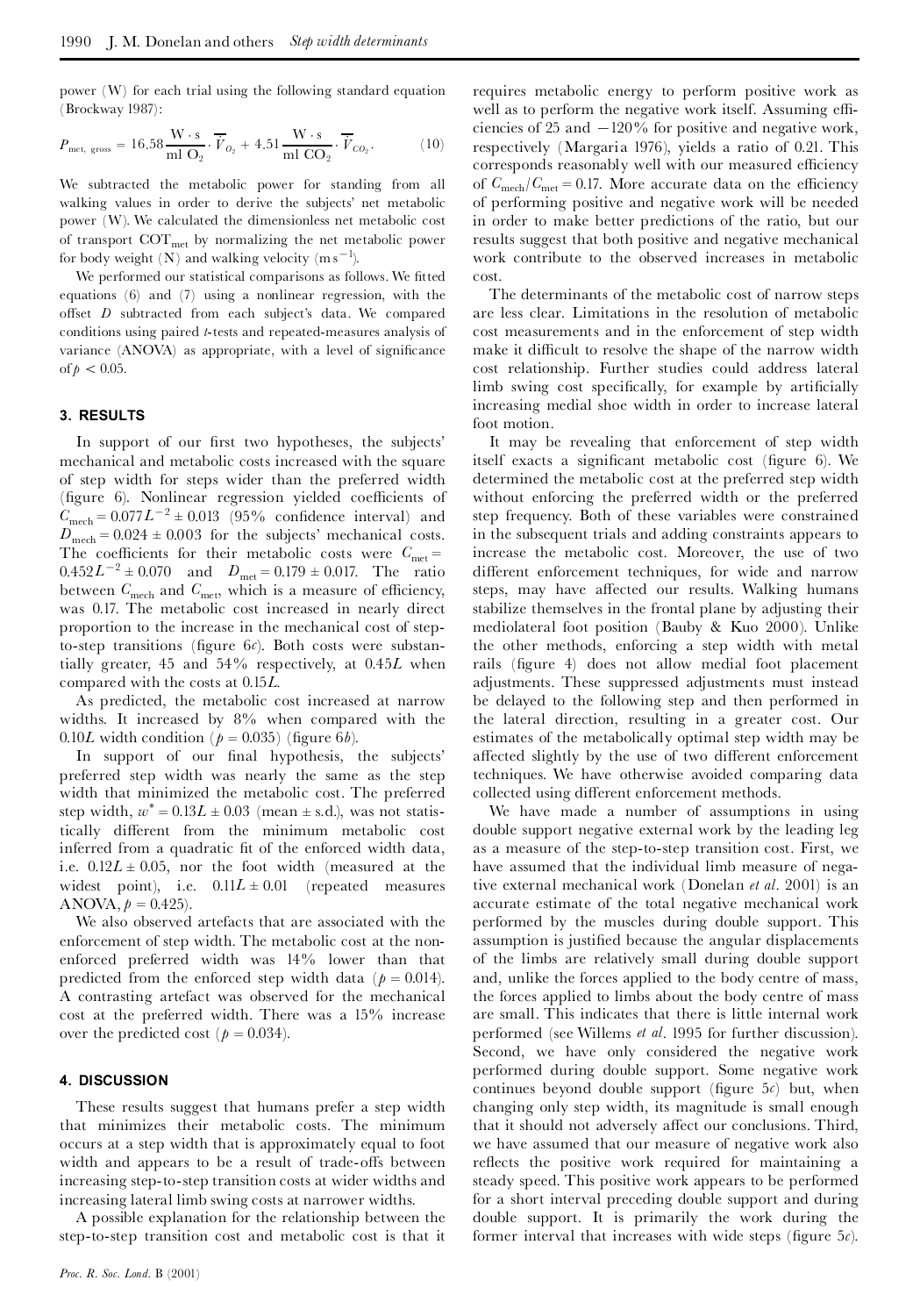power (W) for each trial using the following standard equation (Brockway 1987):

$$
P_{\text{met, gross}} = 16.58 \frac{\text{W} \cdot \text{s}}{\text{ml O}_2} \cdot \overline{\dot{V}}_{O_2} + 4.51 \frac{\text{W} \cdot \text{s}}{\text{ml CO}_2} \cdot \overline{\dot{V}}_{CO_2}.
$$
 (10)

We subtracted the metabolic power for standing from all walking values in order to derive the subjects' net metabolic power (W). We calculated the dimensionless net metabolic cost of transport COTmet by normalizing the net metabolic power for body weight  $(N)$  and walking velocity  $(m s^{-1})$ .

We performed our statistical comparisons as follows. We fitted equations (6) and (7) using a nonlinear regression, with the offset *D* subtracted from each subject's data. We compared conditions using paired *t*-tests and repeated-measures analysis of variance (ANOVA) as appropriate, with a level of significance of  $p < 0.05$ .

### **3. RESULTS**

In support of our first two hypotheses, the subjects' mechanical and metabolic costs increased with the square of step width for steps wider than the preferred width (figure 6). Nonlinear regression yielded coefficients of  $C_{\text{mech}} = 0.077L^{-2} \pm 0.013$  (95% confidence interval) and  $D_{\text{mech}} = 0.024 \pm 0.003$  for the subjects' mechanical costs. The coefficients for their metabolic costs were  $C_{\text{met}} =$  $0.452L^{-2} \pm 0.070$  and  $D_{\text{met}} = 0.179 \pm 0.017$ . The ratio between  $C_{\text{mech}}$  and  $C_{\text{met}}$ , which is a measure of efficiency, was 0.17. The metabolic cost increased in nearly direct proportion to the increase in the mechanical cost of stepto-step transitions (figure  $6c$ ). Both costs were substantially greater, 45 and 54% respectively, at 0.45*L* when compared with the costs at 0.15*L*.

As predicted, the metabolic cost increased at narrow widths. It increased by 8% when compared with the

0.10*L* width condition ( $p = 0.035$ ) (figure 6*b*).<br>In support of our final hypothesis, the subjects' preferred step width was nearly the same as the step width that minimized the metabolic cost. The preferred step width,  $w^* = 0.13L \pm 0.03$  (mean  $\pm$  s.d.), was not statistically different from the minimum metabolic cost inferred from a quadratic fit of the enforced width data, i.e. 0.12*L*  $\pm$  0.05, nor the foot width (measured at the widest point), i.e. 0.11*L*  $\pm$  0.01 (repeated measures ANOVA, *p* = 0.425). We also observed artefacts that are associated with the

enforcement of step width. The metabolic cost at the non enforced preferred width was 14% lower than that predicted from the enforced step width data ( $p = 0.014$ ). A contrasting artefact was observed for the mechanical cost at the preferred width. There was a 15% increase over the predicted cost ( $p = 0.034$ ).

#### **4. DISCUSSION**

These results suggest that humans prefer a step width that minimizes their metabolic costs. The minimum occurs at a step width that is approximately equal to foot width and appears to be a result of trade-offs between increasing step-to-step transition costs at wider widths and increasing lateral limb swing costs at narrower widths.

A possible explanation for the relationship between the step-to-step transition cost and metabolic cost is that it

requires metabolic energy to perform positive work as well as to perform the negative work itself. Assuming efficiencies of 25 and  $-120\%$  for positive and negative work, respectively (Margaria 1976), yields a ratio of 0.21. This corresponds reasonably well with our measured efficiency of  $C_{\text{mech}}/C_{\text{met}} = 0.17$ . More accurate data on the efficiency of performing positive and negative work will be needed in order to make better predictions of the ratio, but our results suggest that both positive and negative mechanical work contribute to the observed increases in metabolic cost.

The determinants of the metabolic cost of narrow steps are less clear. Limitations in the resolution of metabolic cost measurements and in the enforcement of step width make it difficult to resolve the shape of the narrow width cost relationship. Further studies could address lateral limb swing cost specifically, for example by artificially increasing medial shoe width in order to increase lateral foot motion.

It may be revealing that enforcement of step width itself exacts a significant metabolic cost (figure 6). We determined the metabolic cost at the preferred step width without enforcing the preferred width or the preferred step frequency. Both of these variables were constrained in the subsequent trials and adding constraints appears to increase the metabolic cost. Moreover, the use of two different enforcement techniques, for wide and narrow steps, may have affected our results. Walking humans stabilize themselves in the frontal plane by adjusting their mediolateral foot position (Bauby & Kuo 2000). Unlike the other methods, enforcing a step width with metal rails (figure 4) does not allow medial foot placement adjustments. These suppressed adjustments must instead be delayed to the following step and then performed in the lateral direction, resulting in a greater cost. Our estimates of the metabolically optimal step width may be affected slightly by the use of two different enforcement techniques. We have otherwise avoided comparing data collected using different enforcement methods.

We have made a number of assumptions in using double support negative external work by the leading leg as a measure of the step-to-step transition cost. First, we have assumed that the individual limb measure of negative external mechanical work (Donelan *et al*. 2001) is an accurate estimate of the total negative mechanical work performed by the muscles during double support. This assumption is justified because the angular displacements of the limbs are relatively small during double support and, unlike the forces applied to the body centre of mass, the forces applied to limbs about the body centre of mass are small. This indicates that there is little internal work performed (see Willems *et al*. 1995 for further discussion). Second, we have only considered the negative work performed during double support. Some negative work continues beyond double support (figure  $5c$ ) but, when changing only step width, its magnitude is small enough that it should not adversely affect our conclusions. Third, we have assumed that our measure of negative work also reflects the positive work required for maintaining a steady speed. This positive work appears to be performed for a short interval preceding double support and during double support. It is primarily the work during the former interval that increases with wide steps (figure  $5c$ ).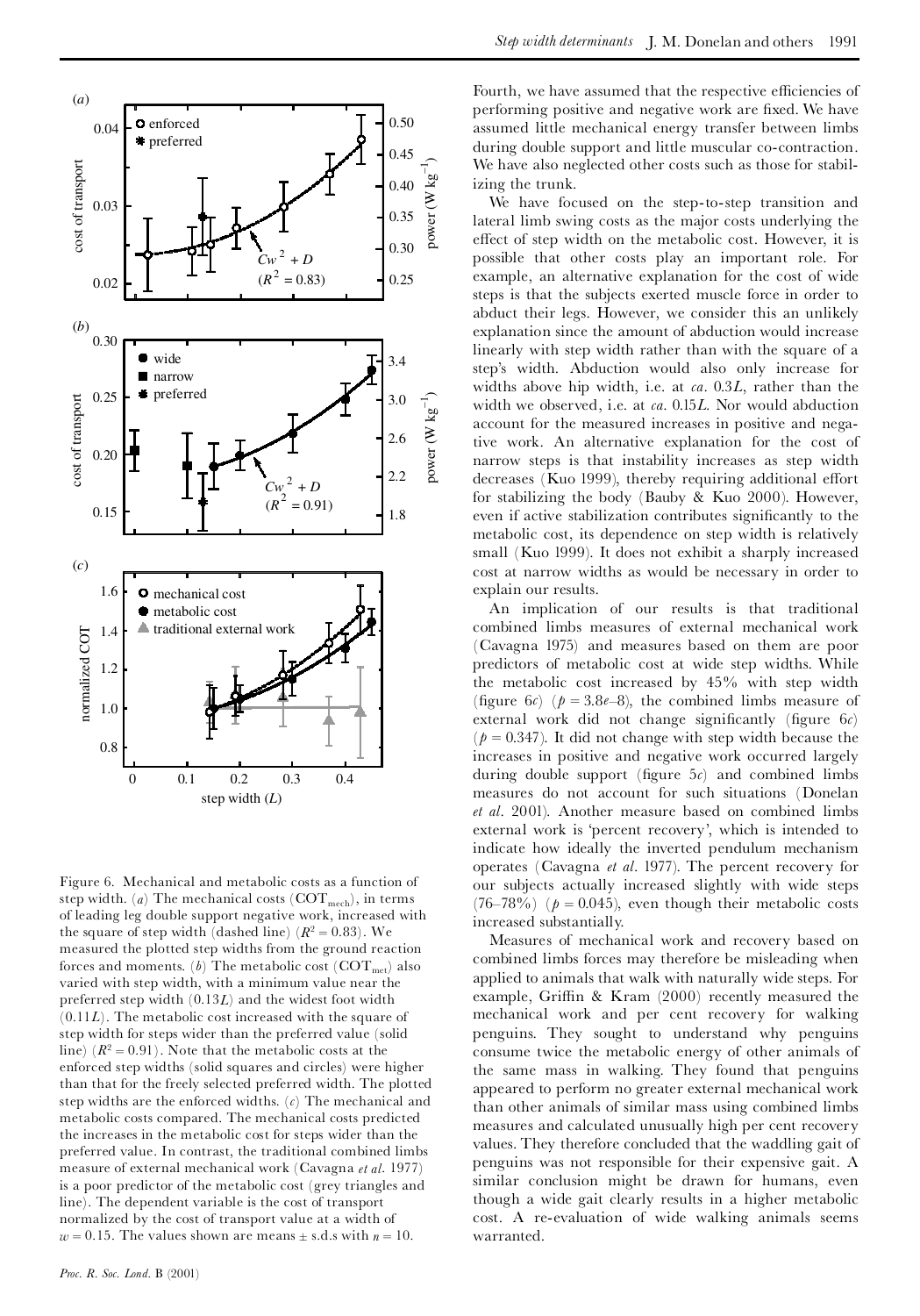

Figure 6. Mechanical and metabolic costs as a function of step width.  $(a)$  The mechanical costs  $(COT<sub>mech</sub>)$ , in terms of leading leg double support negative work, increased with the square of step width (dashed line)  $(R^2 = 0.83)$ . We measured the plotted step widths from the ground reaction forces and moments. (*b*) The metabolic cost ( $\text{COT}_{\text{met}}$ ) also varied with step width, with a minimum value near the preferred step width (0.13*L*) and the widest foot width (0.11*L*). The metabolic cost increased with the square of step width for steps wider than the preferred value (solid line)  $(R^2 = 0.91)$ . Note that the metabolic costs at the enforced step widths (solid squares and circles) were higher than that for the freely selected preferred width. The plotted step widths are the enforced widths. (*c*) The mechanical and metabolic costs compared. The mechanical costs predicted the increases in the metabolic cost for steps wider than the preferred value. In contrast, the traditional combined limbs measure of external mechanical work (Cavagna *et al*. 1977) is a poor predictor of the metabolic cost (grey triangles and line). The dependent variable is the cost of transport normalized by the cost of transport value at a width of  $w = 0.15$ . The values shown are means  $\pm$  s.d.s with  $n = 10$ .

Fourth, we have assumed that the respective efficiencies of performing positive and negative work are fixed. We have assumed little mechanical energy transfer between limbs during double support and little muscular co-contraction. We have also neglected other costs such as those for stabilizing the trunk.

We have focused on the step-to-step transition and lateral limb swing costs as the major costs underlying the effect of step width on the metabolic cost. However, it is possible that other costs play an important role. For example, an alternative explanation for the cost of wide steps is that the subjects exerted muscle force in order to abduct their legs. However, we consider this an unlikely explanation since the amount of abduction would increase linearly with step width rather than with the square of a step's width. Abduction would also only increase for widths above hip width, i.e. at *ca*. 0.3*L*, rather than the width we observed, i.e. at *ca*. 0.15*L*. Nor would abduction account for the measured increases in positive and negative work. An alternative explanation for the cost of narrow steps is that instability increases as step width decreases (Kuo 1999), thereby requiring additional effort for stabilizing the body (Bauby & Kuo 2000). However, even if active stabilization contributes significantly to the metabolic cost, its dependence on step width is relatively small (Kuo 1999). It does not exhibit a sharply increased cost at narrow widths as would be necessary in order to explain our results. by the state of the state of the state of the state of the state of the state of the state of the state of the state of the state of the state of the state of the state of the state of the state of the state of the state o

> An implication of our results is that traditional combined limbs measures of external mechanical work (Cavagna 1975) and measures based on them are poor predictors of metabolic cost at wide step widths. While the metabolic cost increased by 45% with step width (figure 6*c*) ( $p = 3.8e-8$ ), the combined limbs measure of external work did not change significantly (figure 6*c*)  $(p = 0.347)$ . It did not change with step width because the increases in positive and negative work occurred largely during double support (figure  $5c$ ) and combined limbs measures do not account for such situations (Donelan *et al*. 2001). Another measure based on combined limbs external work is 'percent recovery', which is intended to indicate how ideally the inverted pendulum mechanism operates (Cavagna *et al*. 1977). The percent recovery for our subjects actually increased slightly with wide steps (76–78%) ( $p = 0.045$ ), even though their metabolic costs increased substantially.

> Measures of mechanical work and recovery based on combined limbs forces may therefore be misleading when applied to animals that walk with naturally wide steps. For example, Griffin & Kram  $(2000)$  recently measured the mechanical work and per cent recovery for walking penguins. They sought to understand why penguins consume twice the metabolic energy of other animals of the same mass in walking. They found that penguins appeared to perform no greater external mechanical work than other animals of similar mass using combined limbs measures and calculated unusually high per cent recovery values. They therefore concluded that the waddling gait of penguins was not responsible for their expensive gait. A similar conclusion might be drawn for humans, even though a wide gait clearly results in a higher metabolic cost. A re-evaluation of wide walking animals seems warranted.